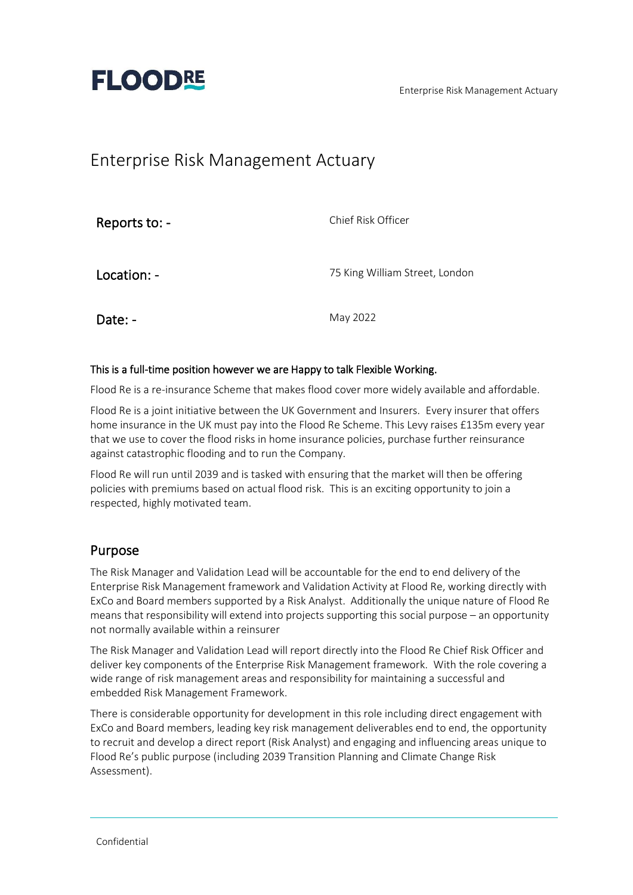Enterprise Risk Management Actuary



# Enterprise Risk Management Actuary

| Reports to: - | Chief Risk Officer             |
|---------------|--------------------------------|
| Location: -   | 75 King William Street, London |
| Date: -       | May 2022                       |

#### This is a full-time position however we are Happy to talk Flexible Working.

Flood Re is a re-insurance Scheme that makes flood cover more widely available and affordable.

Flood Re is a joint initiative between the UK Government and Insurers. Every insurer that offers home insurance in the UK must pay into the Flood Re Scheme. This Levy raises £135m every year that we use to cover the flood risks in home insurance policies, purchase further reinsurance against catastrophic flooding and to run the Company.

Flood Re will run until 2039 and is tasked with ensuring that the market will then be offering policies with premiums based on actual flood risk. This is an exciting opportunity to join a respected, highly motivated team.

#### Purpose

The Risk Manager and Validation Lead will be accountable for the end to end delivery of the Enterprise Risk Management framework and Validation Activity at Flood Re, working directly with ExCo and Board members supported by a Risk Analyst. Additionally the unique nature of Flood Re means that responsibility will extend into projects supporting this social purpose – an opportunity not normally available within a reinsurer

The Risk Manager and Validation Lead will report directly into the Flood Re Chief Risk Officer and deliver key components of the Enterprise Risk Management framework. With the role covering a wide range of risk management areas and responsibility for maintaining a successful and embedded Risk Management Framework.

There is considerable opportunity for development in this role including direct engagement with ExCo and Board members, leading key risk management deliverables end to end, the opportunity to recruit and develop a direct report (Risk Analyst) and engaging and influencing areas unique to Flood Re's public purpose (including 2039 Transition Planning and Climate Change Risk Assessment).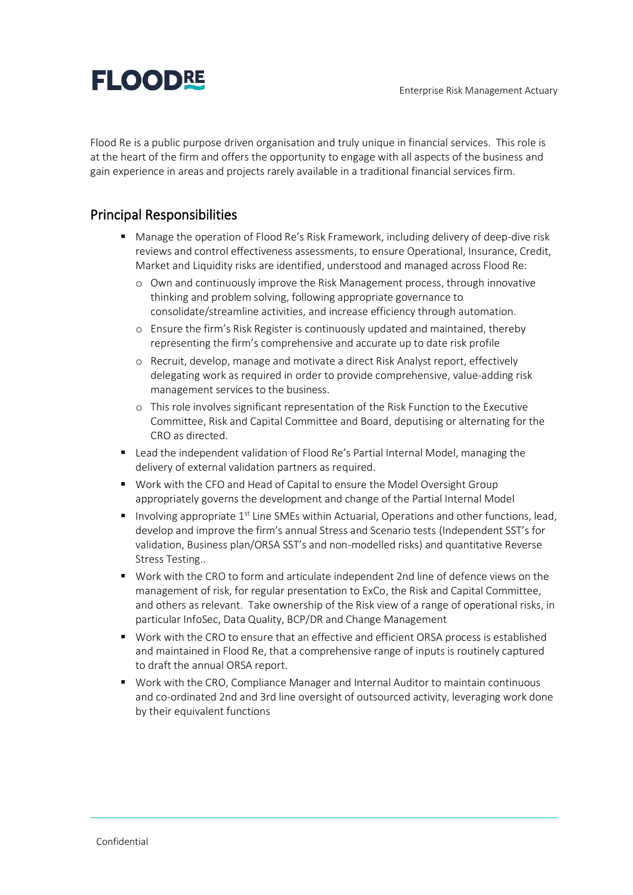

Flood Re is a public purpose driven organisation and truly unique in financial services. This role is at the heart of the firm and offers the opportunity to engage with all aspects of the business and gain experience in areas and projects rarely available in a traditional financial services firm.

### Principal Responsibilities

- Manage the operation of Flood Re's Risk Framework, including delivery of deep-dive risk reviews and control effectiveness assessments, to ensure Operational, Insurance, Credit, Market and Liquidity risks are identified, understood and managed across Flood Re:
	- o Own and continuously improve the Risk Management process, through innovative thinking and problem solving, following appropriate governance to consolidate/streamline activities, and increase efficiency through automation.
	- o Ensure the firm's Risk Register is continuously updated and maintained, thereby representing the firm's comprehensive and accurate up to date risk profile
	- o Recruit, develop, manage and motivate a direct Risk Analyst report, effectively delegating work as required in order to provide comprehensive, value-adding risk management services to the business.
	- o This role involves significant representation of the Risk Function to the Executive Committee, Risk and Capital Committee and Board, deputising or alternating for the CRO as directed.
- Lead the independent validation of Flood Re's Partial Internal Model, managing the delivery of external validation partners as required.
- Work with the CFO and Head of Capital to ensure the Model Oversight Group appropriately governs the development and change of the Partial Internal Model
- $\blacksquare$  Involving appropriate 1<sup>st</sup> Line SMEs within Actuarial, Operations and other functions, lead, develop and improve the firm's annual Stress and Scenario tests (Independent SST's for validation, Business plan/ORSA SST's and non-modelled risks) and quantitative Reverse Stress Testing..
- Work with the CRO to form and articulate independent 2nd line of defence views on the management of risk, for regular presentation to ExCo, the Risk and Capital Committee, and others as relevant. Take ownership of the Risk view of a range of operational risks, in particular InfoSec, Data Quality, BCP/DR and Change Management
- Work with the CRO to ensure that an effective and efficient ORSA process is established and maintained in Flood Re, that a comprehensive range of inputs is routinely captured to draft the annual ORSA report.
- Work with the CRO, Compliance Manager and Internal Auditor to maintain continuous and co-ordinated 2nd and 3rd line oversight of outsourced activity, leveraging work done by their equivalent functions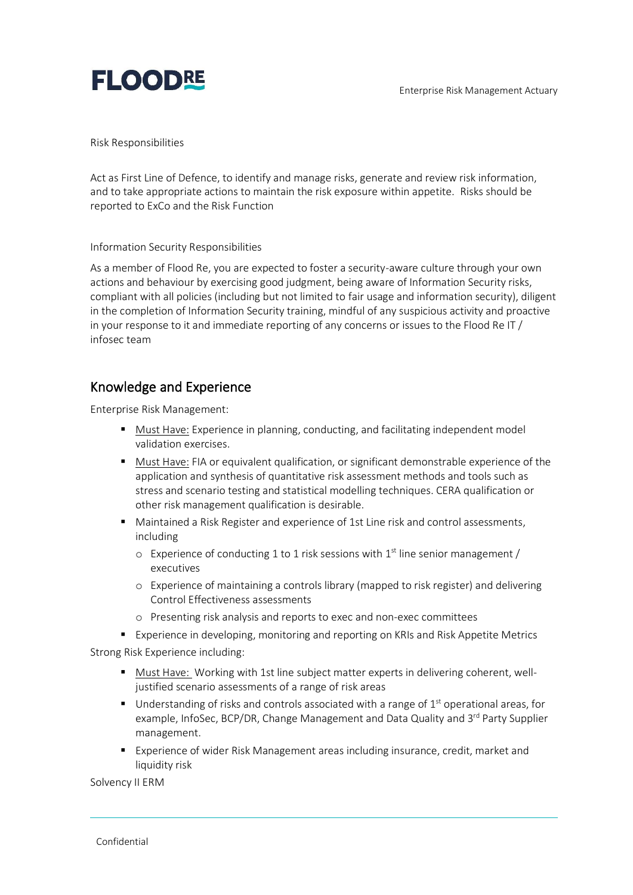

Risk Responsibilities

Act as First Line of Defence, to identify and manage risks, generate and review risk information, and to take appropriate actions to maintain the risk exposure within appetite. Risks should be reported to ExCo and the Risk Function

Information Security Responsibilities

As a member of Flood Re, you are expected to foster a security-aware culture through your own actions and behaviour by exercising good judgment, being aware of Information Security risks, compliant with all policies (including but not limited to fair usage and information security), diligent in the completion of Information Security training, mindful of any suspicious activity and proactive in your response to it and immediate reporting of any concerns or issues to the Flood Re IT / infosec team

#### Knowledge and Experience

Enterprise Risk Management:

- Must Have: Experience in planning, conducting, and facilitating independent model validation exercises.
- Must Have: FIA or equivalent qualification, or significant demonstrable experience of the application and synthesis of quantitative risk assessment methods and tools such as stress and scenario testing and statistical modelling techniques. CERA qualification or other risk management qualification is desirable.
- Maintained a Risk Register and experience of 1st Line risk and control assessments, including
	- $\circ$  Experience of conducting 1 to 1 risk sessions with 1<sup>st</sup> line senior management / executives
	- o Experience of maintaining a controls library (mapped to risk register) and delivering Control Effectiveness assessments
	- o Presenting risk analysis and reports to exec and non-exec committees
- Experience in developing, monitoring and reporting on KRIs and Risk Appetite Metrics

Strong Risk Experience including:

- Must Have: Working with 1st line subject matter experts in delivering coherent, welljustified scenario assessments of a range of risk areas
- **■** Understanding of risks and controls associated with a range of  $1<sup>st</sup>$  operational areas, for example, InfoSec, BCP/DR, Change Management and Data Quality and 3<sup>rd</sup> Party Supplier management.
- Experience of wider Risk Management areas including insurance, credit, market and liquidity risk

Solvency II ERM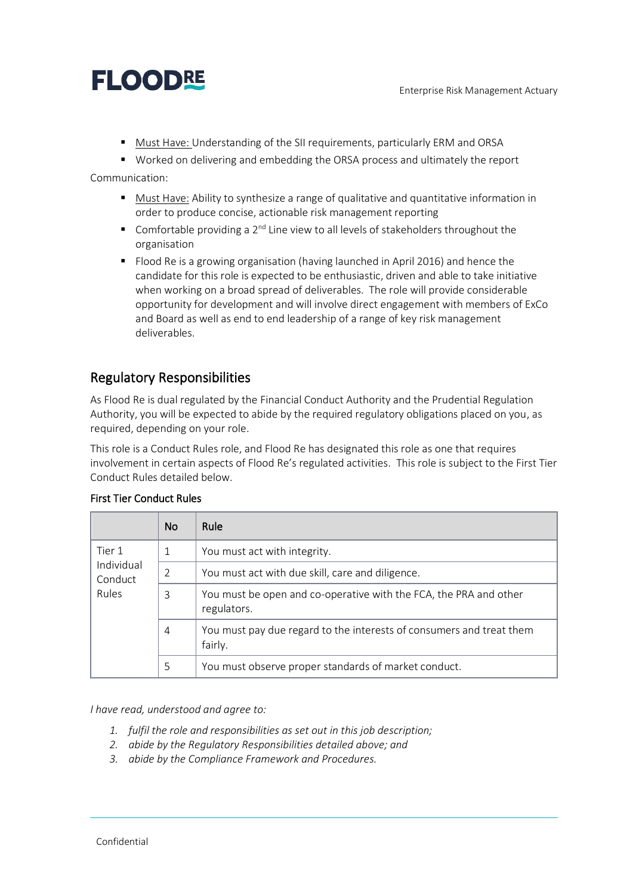# **FLOODRE**

■ Must Have: Understanding of the SII requirements, particularly ERM and ORSA

■ Worked on delivering and embedding the ORSA process and ultimately the report Communication:

- Must Have: Ability to synthesize a range of qualitative and quantitative information in order to produce concise, actionable risk management reporting
- **E** Comfortable providing a  $2^{nd}$  Line view to all levels of stakeholders throughout the organisation
- Flood Re is a growing organisation (having launched in April 2016) and hence the candidate for this role is expected to be enthusiastic, driven and able to take initiative when working on a broad spread of deliverables. The role will provide considerable opportunity for development and will involve direct engagement with members of ExCo and Board as well as end to end leadership of a range of key risk management deliverables.

## Regulatory Responsibilities

As Flood Re is dual regulated by the Financial Conduct Authority and the Prudential Regulation Authority, you will be expected to abide by the required regulatory obligations placed on you, as required, depending on your role.

This role is a Conduct Rules role, and Flood Re has designated this role as one that requires involvement in certain aspects of Flood Re's regulated activities. This role is subject to the First Tier Conduct Rules detailed below.

|                                                 | <b>No</b>      | Rule                                                                             |
|-------------------------------------------------|----------------|----------------------------------------------------------------------------------|
| Tier 1<br>Individual<br>Conduct<br><b>Rules</b> | $\mathbf 1$    | You must act with integrity.                                                     |
|                                                 | $\overline{2}$ | You must act with due skill, care and diligence.                                 |
|                                                 | 3              | You must be open and co-operative with the FCA, the PRA and other<br>regulators. |
|                                                 | $\overline{4}$ | You must pay due regard to the interests of consumers and treat them<br>fairly.  |
|                                                 | 5              | You must observe proper standards of market conduct.                             |

#### First Tier Conduct Rules

*I have read, understood and agree to:*

- *1. fulfil the role and responsibilities as set out in this job description;*
- *2. abide by the Regulatory Responsibilities detailed above; and*
- *3. abide by the Compliance Framework and Procedures.*